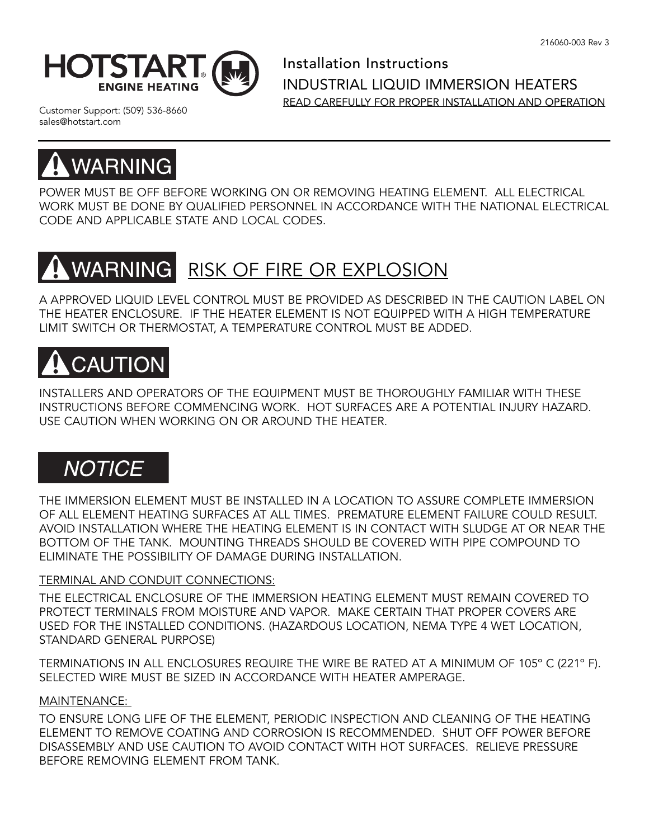

Installation Instructions INDUSTRIAL LIQUID IMMERSION HEATERS READ CAREFULLY FOR PROPER INSTALLATION AND OPERATION

Customer Support: (509) 536-8660 sales@hotstart.com



POWER MUST BE OFF BEFORE WORKING ON OR REMOVING HEATING ELEMENT. ALL ELECTRICAL WORK MUST BE DONE BY QUALIFIED PERSONNEL IN ACCORDANCE WITH THE NATIONAL ELECTRICAL CODE AND APPLICABLE STATE AND LOCAL CODES.

### **WARNING** RISK OF FIRE OR EXPLOSION

A APPROVED LIQUID LEVEL CONTROL MUST BE PROVIDED AS DESCRIBED IN THE CAUTION LABEL ON THE HEATER ENCLOSURE. IF THE HEATER ELEMENT IS NOT EQUIPPED WITH A HIGH TEMPERATURE LIMIT SWITCH OR THERMOSTAT, A TEMPERATURE CONTROL MUST BE ADDED.

# **CAUTION**

INSTALLERS AND OPERATORS OF THE EQUIPMENT MUST BE THOROUGHLY FAMILIAR WITH THESE INSTRUCTIONS BEFORE COMMENCING WORK. HOT SURFACES ARE A POTENTIAL INJURY HAZARD. USE CAUTION WHEN WORKING ON OR AROUND THE HEATER.

# **NOTICE**

THE IMMERSION ELEMENT MUST BE INSTALLED IN A LOCATION TO ASSURE COMPLETE IMMERSION OF ALL ELEMENT HEATING SURFACES AT ALL TIMES. PREMATURE ELEMENT FAILURE COULD RESULT. AVOID INSTALLATION WHERE THE HEATING ELEMENT IS IN CONTACT WITH SLUDGE AT OR NEAR THE BOTTOM OF THE TANK. MOUNTING THREADS SHOULD BE COVERED WITH PIPE COMPOUND TO ELIMINATE THE POSSIBILITY OF DAMAGE DURING INSTALLATION.

## TERMINAL AND CONDUIT CONNECTIONS:

THE ELECTRICAL ENCLOSURE OF THE IMMERSION HEATING ELEMENT MUST REMAIN COVERED TO PROTECT TERMINALS FROM MOISTURE AND VAPOR. MAKE CERTAIN THAT PROPER COVERS ARE USED FOR THE INSTALLED CONDITIONS. (HAZARDOUS LOCATION, NEMA TYPE 4 WET LOCATION, STANDARD GENERAL PURPOSE)

TERMINATIONS IN ALL ENCLOSURES REQUIRE THE WIRE BE RATED AT A MINIMUM OF 105º C (221º F). SELECTED WIRE MUST BE SIZED IN ACCORDANCE WITH HEATER AMPERAGE.

## MAINTENANCE:

TO ENSURE LONG LIFE OF THE ELEMENT, PERIODIC INSPECTION AND CLEANING OF THE HEATING ELEMENT TO REMOVE COATING AND CORROSION IS RECOMMENDED. SHUT OFF POWER BEFORE DISASSEMBLY AND USE CAUTION TO AVOID CONTACT WITH HOT SURFACES. RELIEVE PRESSURE BEFORE REMOVING ELEMENT FROM TANK.